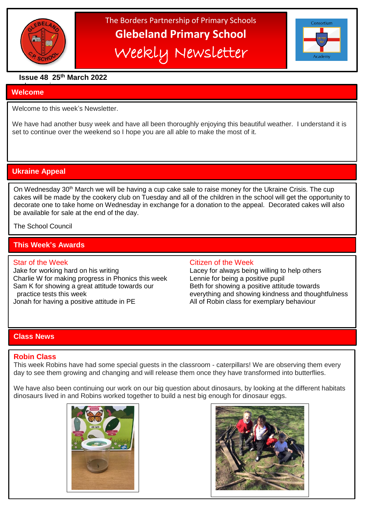

The Borders Partnership of Primary Schools **Glebeland Primary School** Weekly Newsletter



# **Issue 48 25th March 2022**

#### a bumper is in the second second in the second second in the second second in the second second in the second <br>And the second second in the second second in the second second in the second second in the second second in t **Welcome**

֦

Welcome to this week's Newsletter.

We have had another busy week and have all been thoroughly enjoying this beautiful weather. I understand it is set to continue over the weekend so I hope you are all able to make the most of it.

# **Ukraine Appeal**

On Wednesday 30<sup>th</sup> March we will be having a cup cake sale to raise money for the Ukraine Crisis. The cup cakes will be made by the cookery club on Tuesday and all of the children in the school will get the opportunity to decorate one to take home on Wednesday in exchange for a donation to the appeal. Decorated cakes will also be available for sale at the end of the day.

The School Council

# **This Week's Awards**

Jake for working hard on his writing Lacey for always being willing to help others Charlie W for making progress in Phonics this week Lennie for being a positive pupil Sam K for showing a great attitude towards our Beth for showing a positive attitude towards

#### Star of the Week **Citizen of the Week** Citizen of the Week

 practice tests this week everything and showing kindness and thoughtfulness Jonah for having a positive attitude in PE All of Robin class for exemplary behaviour

# **Class News**

#### **Robin Class**

This week Robins have had some special guests in the classroom - caterpillars! We are observing them every day to see them growing and changing and will release them once they have transformed into butterflies.

We have also been continuing our work on our big question about dinosaurs, by looking at the different habitats dinosaurs lived in and Robins worked together to build a nest big enough for dinosaur eggs.